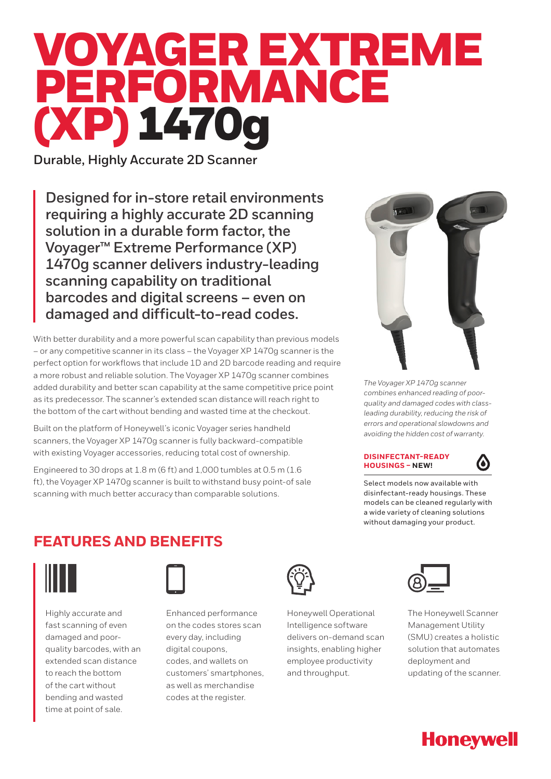# VOYAGER EXTREME PERFORMANCE (XP) 1470g

**Durable, Highly Accurate 2D Scanner**

**Designed for in-store retail environments requiring a highly accurate 2D scanning solution in a durable form factor, the Voyager™ Extreme Performance (XP) 1470g scanner delivers industry-leading scanning capability on traditional barcodes and digital screens – even on damaged and difficult-to-read codes.**

With better durability and a more powerful scan capability than previous models – or any competitive scanner in its class – the Voyager XP 1470g scanner is the perfect option for workflows that include 1D and 2D barcode reading and require a more robust and reliable solution. The Voyager XP 1470g scanner combines added durability and better scan capability at the same competitive price point as its predecessor. The scanner's extended scan distance will reach right to the bottom of the cart without bending and wasted time at the checkout.

Built on the platform of Honeywell's iconic Voyager series handheld scanners, the Voyager XP 1470g scanner is fully backward-compatible with existing Voyager accessories, reducing total cost of ownership.

Engineered to 30 drops at 1.8 m (6 ft) and 1,000 tumbles at 0.5 m (1.6 ft), the Voyager XP 1470g scanner is built to withstand busy point-of sale scanning with much better accuracy than comparable solutions.



*The Voyager XP 1470g scanner combines enhanced reading of poorquality and damaged codes with classleading durability, reducing the risk of errors and operational slowdowns and avoiding the hidden cost of warranty.*

# **DISINFECTANT-READY HOUSINGS – NEW!**



Select models now available with disinfectant-ready housings. These models can be cleaned regularly with a wide variety of cleaning solutions without damaging your product.

# **FEATURES AND BENEFITS**



Highly accurate and fast scanning of even damaged and poorquality barcodes, with an extended scan distance to reach the bottom of the cart without bending and wasted time at point of sale.



Enhanced performance on the codes stores scan every day, including digital coupons, codes, and wallets on customers' smartphones, as well as merchandise codes at the register.



Honeywell Operational Intelligence software delivers on-demand scan insights, enabling higher employee productivity and throughput.



The Honeywell Scanner Management Utility (SMU) creates a holistic solution that automates deployment and updating of the scanner.